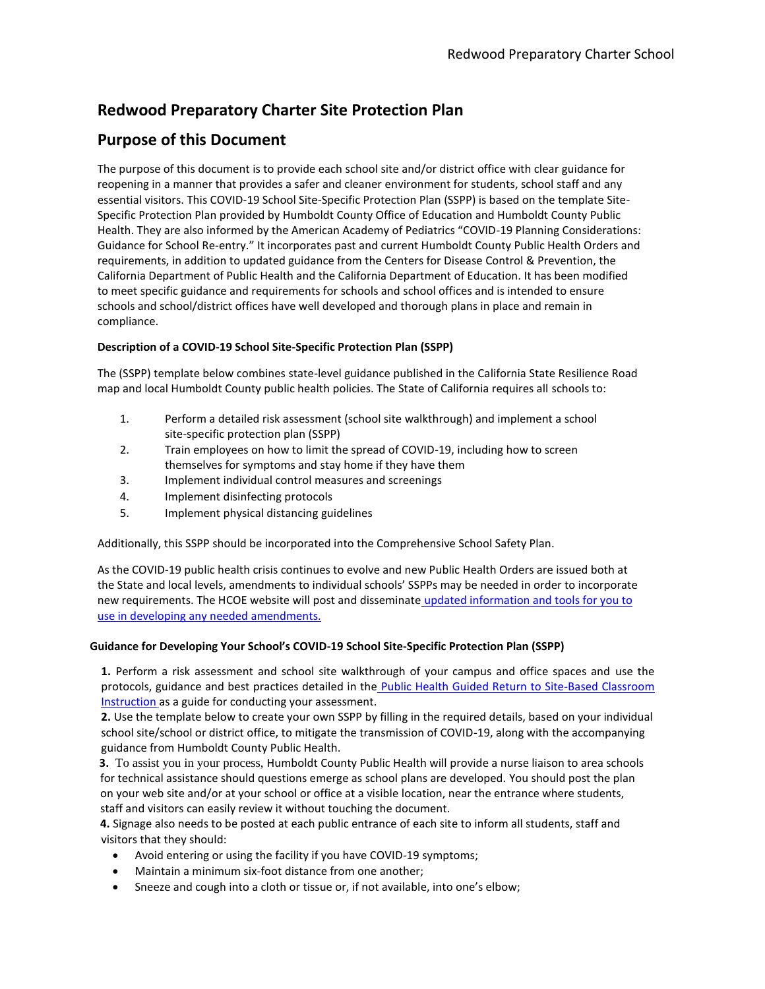# **Redwood Preparatory Charter Site Protection Plan**

# **Purpose of this Document**

The purpose of this document is to provide each school site and/or district office with clear guidance for reopening in a manner that provides a safer and cleaner environment for students, school staff and any essential visitors. This COVID-19 School Site-Specific Protection Plan (SSPP) is based on the template Site-Specific Protection Plan provided by Humboldt County Office of Education and Humboldt County Public Health. They are also informed by the American Academy of Pediatrics "COVID-19 Planning Considerations: Guidance for School Re-entry." It incorporates past and current Humboldt County Public Health Orders and requirements, in addition to updated guidance from the Centers for Disease Control & Prevention, the California Department of Public Health and the California Department of Education. It has been modified to meet specific guidance and requirements for schools and school offices and is intended to ensure schools and school/district offices have well developed and thorough plans in place and remain in compliance.

### **Description of a COVID-19 School Site-Specific Protection Plan (SSPP)**

The (SSPP) template below combines state-level guidance published in the California State Resilience Road map and local Humboldt County public health policies. The State of California requires all schools to:

- 1. Perform a detailed risk assessment (school site walkthrough) and implement a school site-specific protection plan (SSPP)
- 2. Train employees on how to limit the spread of COVID-19, including how to screen themselves for symptoms and stay home if they have them
- 3. Implement individual control measures and screenings
- 4. Implement disinfecting protocols
- 5. Implement physical distancing guidelines

Additionally, this SSPP should be incorporated into the Comprehensive School Safety Plan.

As the COVID-19 public health crisis continues to evolve and new Public Health Orders are issued both at the State and local levels, amendments to individual schools' SSPPs may be needed in order to incorporate new requirements. The HCOE website will post and disseminate [updated information and tools for you to](https://hcoe.org/covid-19/)  [use in developing any needed amendments.](https://hcoe.org/covid-19/)

### **Guidance for Developing Your School's COVID-19 School Site-Specific Protection Plan (SSPP)**

**1.** Perform a risk assessment and school site walkthrough of your campus and office spaces and use the protocols, guidance and best practices detailed in the Public Health Guided Return to Site-Based Classroom [Instruction](https://humboldtcoe-my.sharepoint.com/:w:/g/personal/csmart_hcoe_org1/EaJ4_Fep4e5Ai57xAsRQgj4BVQAGetVB9kb0Ij_1eAKozQ?e=Nl89bd) as a guide for conducting your assessment.

**2.** Use the template below to create your own SSPP by filling in the required details, based on your individual school site/school or district office, to mitigate the transmission of COVID-19, along with the accompanying guidance from Humboldt County Public Health.

**3.** To assist you in your process, Humboldt County Public Health will provide a nurse liaison to area schools for technical assistance should questions emerge as school plans are developed. You should post the plan on your web site and/or at your school or office at a visible location, near the entrance where students, staff and visitors can easily review it without touching the document.

**4.** Signage also needs to be posted at each public entrance of each site to inform all students, staff and visitors that they should:

- Avoid entering or using the facility if you have COVID-19 symptoms;
- Maintain a minimum six-foot distance from one another;
- Sneeze and cough into a cloth or tissue or, if not available, into one's elbow;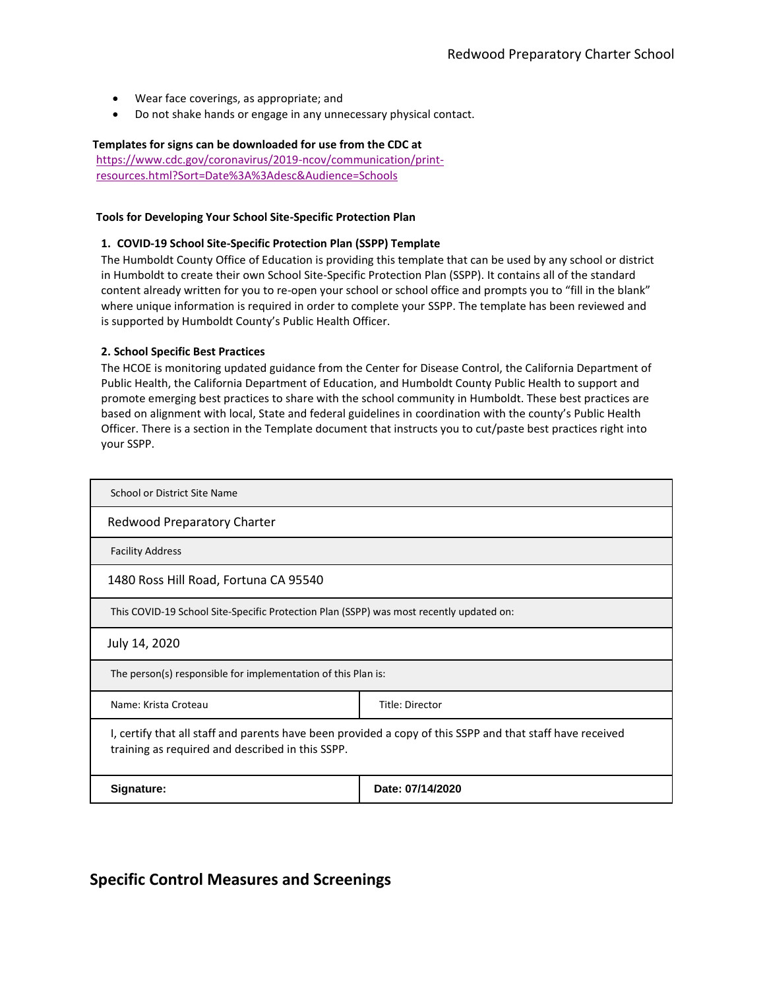- Wear face coverings, as appropriate; and
- Do not shake hands or engage in any unnecessary physical contact.

#### **Templates for signs can be downloaded for use from the CDC at**

[https://www.cdc.gov/coronavirus/2019-ncov/communication/print](https://www.cdc.gov/coronavirus/2019-ncov/communication/print-resources.html?Sort=Date%3A%3Adesc&Audience=Schools)[resources.html?Sort=Date%3A%3Adesc&Audience=Schools](https://www.cdc.gov/coronavirus/2019-ncov/communication/print-resources.html?Sort=Date%3A%3Adesc&Audience=Schools)

#### **Tools for Developing Your School Site-Specific Protection Plan**

#### **1. COVID-19 School Site-Specific Protection Plan (SSPP) Template**

The Humboldt County Office of Education is providing this template that can be used by any school or district in Humboldt to create their own School Site-Specific Protection Plan (SSPP). It contains all of the standard content already written for you to re-open your school or school office and prompts you to "fill in the blank" where unique information is required in order to complete your SSPP. The template has been reviewed and is supported by Humboldt County's Public Health Officer.

#### **2. School Specific Best Practices**

The HCOE is monitoring updated guidance from the Center for Disease Control, the California Department of Public Health, the California Department of Education, and Humboldt County Public Health to support and promote emerging best practices to share with the school community in Humboldt. These best practices are based on alignment with local, State and federal guidelines in coordination with the county's Public Health Officer. There is a section in the Template document that instructs you to cut/paste best practices right into your SSPP.

| School or District Site Name                                                                                                                                  |                                                                                         |  |  |
|---------------------------------------------------------------------------------------------------------------------------------------------------------------|-----------------------------------------------------------------------------------------|--|--|
| Redwood Preparatory Charter                                                                                                                                   |                                                                                         |  |  |
| <b>Facility Address</b>                                                                                                                                       |                                                                                         |  |  |
| 1480 Ross Hill Road, Fortuna CA 95540                                                                                                                         |                                                                                         |  |  |
|                                                                                                                                                               | This COVID-19 School Site-Specific Protection Plan (SSPP) was most recently updated on: |  |  |
| July 14, 2020                                                                                                                                                 |                                                                                         |  |  |
| The person(s) responsible for implementation of this Plan is:                                                                                                 |                                                                                         |  |  |
| Name: Krista Croteau                                                                                                                                          | Title: Director                                                                         |  |  |
| I, certify that all staff and parents have been provided a copy of this SSPP and that staff have received<br>training as required and described in this SSPP. |                                                                                         |  |  |
| Signature:                                                                                                                                                    | Date: 07/14/2020                                                                        |  |  |

### **Specific Control Measures and Screenings**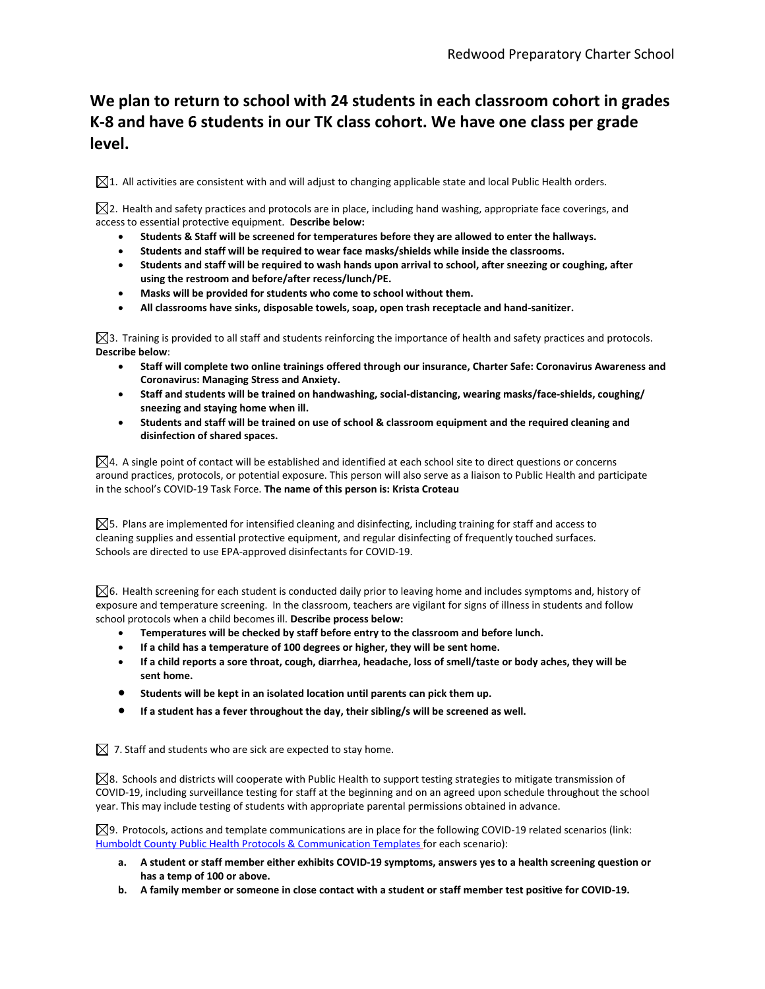# **We plan to return to school with 24 students in each classroom cohort in grades K-8 and have 6 students in our TK class cohort. We have one class per grade level.**

 $\boxtimes$ 1. All activities are consistent with and will adjust to changing applicable state and local Public Health orders.

 $\boxtimes$ 2. Health and safety practices and protocols are in place, including hand washing, appropriate face coverings, and access to essential protective equipment. **Describe below:**

- **Students & Staff will be screened for temperatures before they are allowed to enter the hallways.**
- **Students and staff will be required to wear face masks/shields while inside the classrooms.**
- **Students and staff will be required to wash hands upon arrival to school, after sneezing or coughing, after using the restroom and before/after recess/lunch/PE.**
- **Masks will be provided for students who come to school without them.**
- **All classrooms have sinks, disposable towels, soap, open trash receptacle and hand-sanitizer.**

 $\boxtimes$ 3. Training is provided to all staff and students reinforcing the importance of health and safety practices and protocols. **Describe below**:

- **Staff will complete two online trainings offered through our insurance, Charter Safe: Coronavirus Awareness and Coronavirus: Managing Stress and Anxiety.**
- **Staff and students will be trained on handwashing, social-distancing, wearing masks/face-shields, coughing/ sneezing and staying home when ill.**
- **Students and staff will be trained on use of school & classroom equipment and the required cleaning and disinfection of shared spaces.**

 $\boxtimes$ 4. A single point of contact will be established and identified at each school site to direct questions or concerns around practices, protocols, or potential exposure. This person will also serve as a liaison to Public Health and participate in the school's COVID-19 Task Force. **The name of this person is: Krista Croteau**

 $\boxtimes$ 5. Plans are implemented for intensified cleaning and disinfecting, including training for staff and access to cleaning supplies and essential protective equipment, and regular disinfecting of frequently touched surfaces. Schools are directed to use EPA-approved disinfectants for COVID-19.

 $\boxtimes$ 6. Health screening for each student is conducted daily prior to leaving home and includes symptoms and, history of exposure and temperature screening. In the classroom, teachers are vigilant for signs of illness in students and follow school protocols when a child becomes ill. **Describe process below:**

- **Temperatures will be checked by staff before entry to the classroom and before lunch.**
- **If a child has a temperature of 100 degrees or higher, they will be sent home.**
- **If a child reports a sore throat, cough, diarrhea, headache, loss of smell/taste or body aches, they will be sent home.**
- **Students will be kept in an isolated location until parents can pick them up.**
- **If a student has a fever throughout the day, their sibling/s will be screened as well.**

 $\boxtimes$  7. Staff and students who are sick are expected to stay home.

 $\boxtimes$ 8. Schools and districts will cooperate with Public Health to support testing strategies to mitigate transmission of COVID-19, including surveillance testing for staff at the beginning and on an agreed upon schedule throughout the school year. This may include testing of students with appropriate parental permissions obtained in advance.

 $\boxtimes$ 9. Protocols, actions and template communications are in place for the following COVID-19 related scenarios (link: [Humboldt County Public Health Protocols & Communication Templates](https://humboldtcoe-my.sharepoint.com/personal/csmart_hcoe_org1/_layouts/15/onedrive.aspx?id=%2Fpersonal%2Fcsmart%5Fhcoe%5Forg1%2FDocuments%2FReopening%20CDPH%20Form&originalPath=aHR0cHM6Ly9odW1ib2xkdGNvZS1teS5zaGFyZXBvaW50LmNvbS86ZjovZy9wZXJzb25hbC9jc21hcnRfaGNvZV9vcmcxL0VqTFVvS1ZwMjNOQnRXak1xUUVmQ1RNQkJkZi14Q1hicThDZE1oYW1PNWZncFE_cnRpbWU9MmZoUkJZMGkyRWc) for each scenario):

- **a. A student or staff member either exhibits COVID-19 symptoms, answers yes to a health screening question or has a temp of 100 or above.**
- **b. A family member or someone in close contact with a student or staff member test positive for COVID-19.**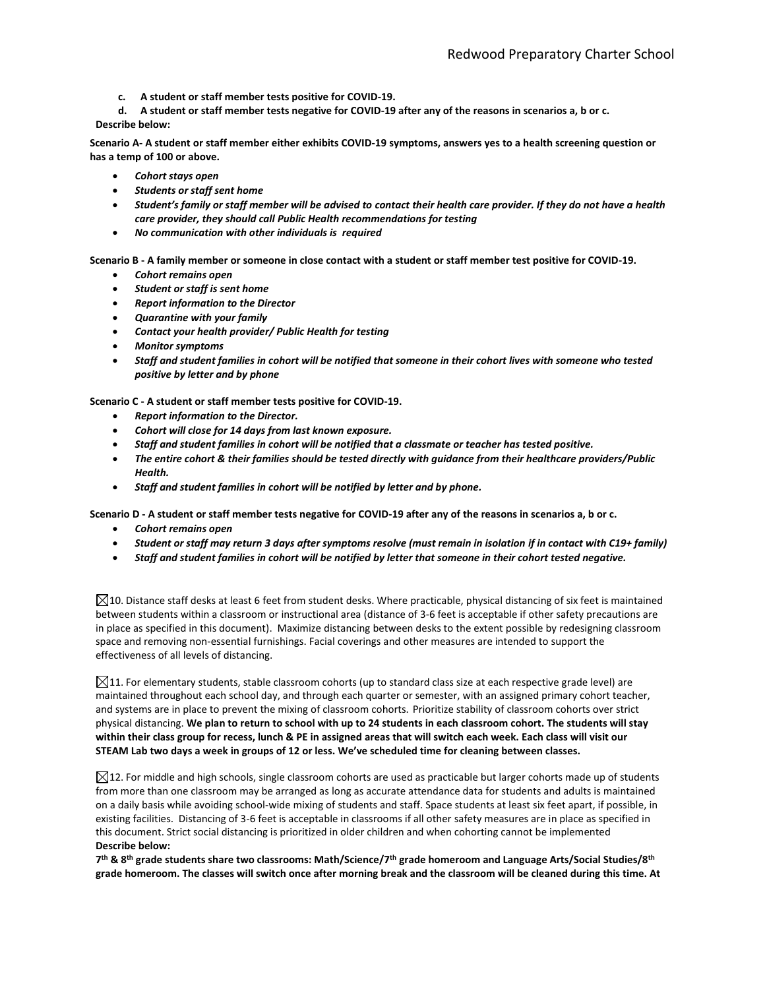**c. A student or staff member tests positive for COVID-19.**

**d. A student or staff member tests negative for COVID-19 after any of the reasons in scenarios a, b or c. Describe below:**

**Scenario A- A student or staff member either exhibits COVID-19 symptoms, answers yes to a health screening question or has a temp of 100 or above.**

- *Cohort stays open*
- *Students or staff sent home*
- *Student's family or staff member will be advised to contact their health care provider. If they do not have a health care provider, they should call Public Health recommendations for testing*
- *No communication with other individuals is required*

**Scenario B - A family member or someone in close contact with a student or staff member test positive for COVID-19.**

- *Cohort remains open*
- *Student or staff is sent home*
- *Report information to the Director*
- *Quarantine with your family*
- *Contact your health provider/ Public Health for testing*
- *Monitor symptoms*
- *Staff and student families in cohort will be notified that someone in their cohort lives with someone who tested positive by letter and by phone*

**Scenario C - A student or staff member tests positive for COVID-19.**

- *Report information to the Director.*
- *Cohort will close for 14 days from last known exposure.*
- *Staff and student families in cohort will be notified that a classmate or teacher has tested positive.*
- *The entire cohort & their families should be tested directly with guidance from their healthcare providers/Public Health.*
- *Staff and student families in cohort will be notified by letter and by phone.*

**Scenario D - A student or staff member tests negative for COVID-19 after any of the reasons in scenarios a, b or c.**

- *Cohort remains open*
- *Student or staff may return 3 days after symptoms resolve (must remain in isolation if in contact with C19+ family)*
- *Staff and student families in cohort will be notified by letter that someone in their cohort tested negative.*

 $\boxtimes$ 10. Distance staff desks at least 6 feet from student desks. Where practicable, physical distancing of six feet is maintained between students within a classroom or instructional area (distance of 3-6 feet is acceptable if other safety precautions are in place as specified in this document). Maximize distancing between desks to the extent possible by redesigning classroom space and removing non-essential furnishings. Facial coverings and other measures are intended to support the effectiveness of all levels of distancing.

 $\boxtimes$ 11. For elementary students, stable classroom cohorts (up to standard class size at each respective grade level) are maintained throughout each school day, and through each quarter or semester, with an assigned primary cohort teacher, and systems are in place to prevent the mixing of classroom cohorts. Prioritize stability of classroom cohorts over strict physical distancing. **We plan to return to school with up to 24 students in each classroom cohort. The students will stay within their class group for recess, lunch & PE in assigned areas that will switch each week. Each class will visit our STEAM Lab two days a week in groups of 12 or less. We've scheduled time for cleaning between classes.** 

 $\boxtimes$ 12. For middle and high schools, single classroom cohorts are used as practicable but larger cohorts made up of students from more than one classroom may be arranged as long as accurate attendance data for students and adults is maintained on a daily basis while avoiding school-wide mixing of students and staff. Space students at least six feet apart, if possible, in existing facilities. Distancing of 3-6 feet is acceptable in classrooms if all other safety measures are in place as specified in this document. Strict social distancing is prioritized in older children and when cohorting cannot be implemented **Describe below:**

**7 th & 8th grade students share two classrooms: Math/Science/7th grade homeroom and Language Arts/Social Studies/8th grade homeroom. The classes will switch once after morning break and the classroom will be cleaned during this time. At**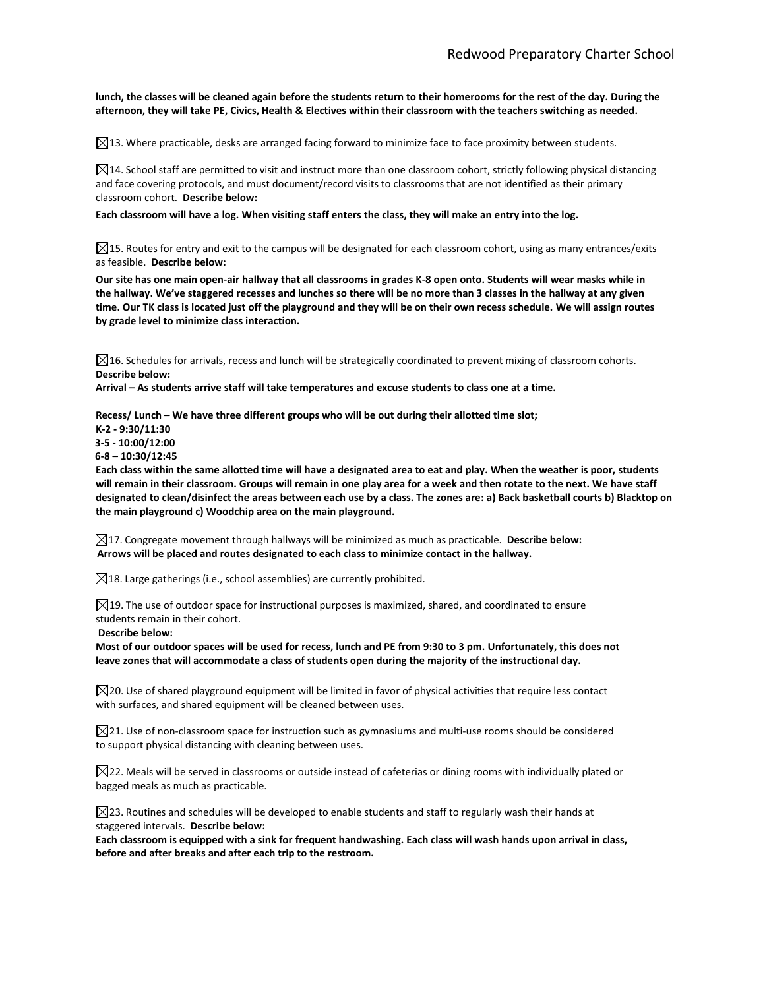**lunch, the classes will be cleaned again before the students return to their homerooms for the rest of the day. During the afternoon, they will take PE, Civics, Health & Electives within their classroom with the teachers switching as needed.**

 $\boxtimes$ 13. Where practicable, desks are arranged facing forward to minimize face to face proximity between students.

 $\boxtimes$ 14. School staff are permitted to visit and instruct more than one classroom cohort, strictly following physical distancing and face covering protocols, and must document/record visits to classrooms that are not identified as their primary classroom cohort. **Describe below:**

**Each classroom will have a log. When visiting staff enters the class, they will make an entry into the log.**

 $\boxtimes$ 15. Routes for entry and exit to the campus will be designated for each classroom cohort, using as many entrances/exits as feasible. **Describe below:**

**Our site has one main open-air hallway that all classrooms in grades K-8 open onto. Students will wear masks while in the hallway. We've staggered recesses and lunches so there will be no more than 3 classes in the hallway at any given time. Our TK class is located just off the playground and they will be on their own recess schedule. We will assign routes by grade level to minimize class interaction.**

 $\boxtimes$ 16. Schedules for arrivals, recess and lunch will be strategically coordinated to prevent mixing of classroom cohorts. **Describe below:**

**Arrival – As students arrive staff will take temperatures and excuse students to class one at a time.**

**Recess/ Lunch – We have three different groups who will be out during their allotted time slot;** 

**K-2 - 9:30/11:30**

 **3-5 - 10:00/12:00**

**6-8 – 10:30/12:45**

**Each class within the same allotted time will have a designated area to eat and play. When the weather is poor, students will remain in their classroom. Groups will remain in one play area for a week and then rotate to the next. We have staff designated to clean/disinfect the areas between each use by a class. The zones are: a) Back basketball courts b) Blacktop on the main playground c) Woodchip area on the main playground.** 

17. Congregate movement through hallways will be minimized as much as practicable. **Describe below: Arrows will be placed and routes designated to each class to minimize contact in the hallway.**

 $\boxtimes$ 18. Large gatherings (i.e., school assemblies) are currently prohibited.

 $\boxtimes$ 19. The use of outdoor space for instructional purposes is maximized, shared, and coordinated to ensure students remain in their cohort.

**Describe below:**

**Most of our outdoor spaces will be used for recess, lunch and PE from 9:30 to 3 pm. Unfortunately, this does not leave zones that will accommodate a class of students open during the majority of the instructional day.**

 $\boxtimes$ 20. Use of shared playground equipment will be limited in favor of physical activities that require less contact with surfaces, and shared equipment will be cleaned between uses.

 $\boxtimes$ 21. Use of non-classroom space for instruction such as gymnasiums and multi-use rooms should be considered to support physical distancing with cleaning between uses.

 $\boxtimes$ 22. Meals will be served in classrooms or outside instead of cafeterias or dining rooms with individually plated or bagged meals as much as practicable.

 $\boxtimes$ 23. Routines and schedules will be developed to enable students and staff to regularly wash their hands at staggered intervals. **Describe below:**

**Each classroom is equipped with a sink for frequent handwashing. Each class will wash hands upon arrival in class, before and after breaks and after each trip to the restroom.**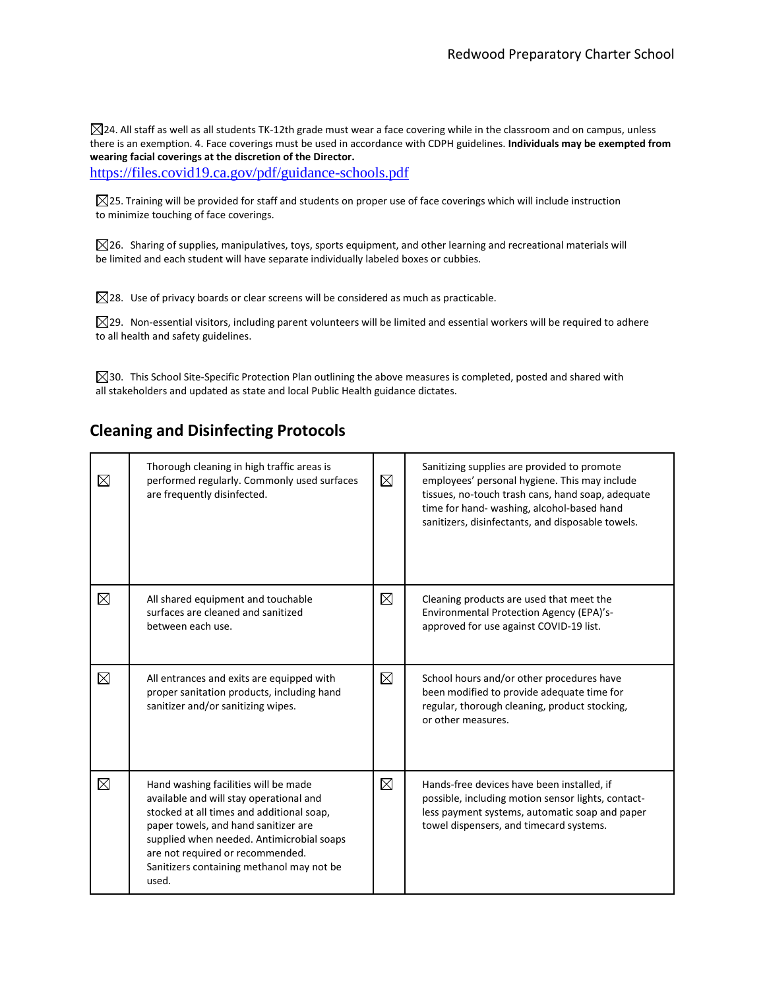$\boxtimes$ 24. All staff as well as all students TK-12th grade must wear a face covering while in the classroom and on campus, unless there is an exemption. 4. Face coverings must be used in accordance with CDPH guidelines. **Individuals may be exempted from wearing facial coverings at the discretion of the Director.**

<https://files.covid19.ca.gov/pdf/guidance-schools.pdf>

 $\boxtimes$ 25. Training will be provided for staff and students on proper use of face coverings which will include instruction to minimize touching of face coverings.

 $\boxtimes$ 26. Sharing of supplies, manipulatives, toys, sports equipment, and other learning and recreational materials will be limited and each student will have separate individually labeled boxes or cubbies.

 $\boxtimes$ 28. Use of privacy boards or clear screens will be considered as much as practicable.

 $\boxtimes$ 29. Non-essential visitors, including parent volunteers will be limited and essential workers will be required to adhere to all health and safety guidelines.

 $\boxtimes$ 30. This School Site-Specific Protection Plan outlining the above measures is completed, posted and shared with all stakeholders and updated as state and local Public Health guidance dictates.

### **Cleaning and Disinfecting Protocols**

| $\boxtimes$ | Thorough cleaning in high traffic areas is<br>performed regularly. Commonly used surfaces<br>are frequently disinfected.                                                                                                                                                                                    | $\boxtimes$ | Sanitizing supplies are provided to promote<br>employees' personal hygiene. This may include<br>tissues, no-touch trash cans, hand soap, adequate<br>time for hand- washing, alcohol-based hand<br>sanitizers, disinfectants, and disposable towels. |
|-------------|-------------------------------------------------------------------------------------------------------------------------------------------------------------------------------------------------------------------------------------------------------------------------------------------------------------|-------------|------------------------------------------------------------------------------------------------------------------------------------------------------------------------------------------------------------------------------------------------------|
| $\boxtimes$ | All shared equipment and touchable<br>surfaces are cleaned and sanitized<br>between each use.                                                                                                                                                                                                               | $\boxtimes$ | Cleaning products are used that meet the<br>Environmental Protection Agency (EPA)'s-<br>approved for use against COVID-19 list.                                                                                                                      |
| $\boxtimes$ | All entrances and exits are equipped with<br>proper sanitation products, including hand<br>sanitizer and/or sanitizing wipes.                                                                                                                                                                               | $\boxtimes$ | School hours and/or other procedures have<br>been modified to provide adequate time for<br>regular, thorough cleaning, product stocking,<br>or other measures.                                                                                       |
| $\boxtimes$ | Hand washing facilities will be made<br>available and will stay operational and<br>stocked at all times and additional soap,<br>paper towels, and hand sanitizer are<br>supplied when needed. Antimicrobial soaps<br>are not required or recommended.<br>Sanitizers containing methanol may not be<br>used. | $\boxtimes$ | Hands-free devices have been installed, if<br>possible, including motion sensor lights, contact-<br>less payment systems, automatic soap and paper<br>towel dispensers, and timecard systems.                                                        |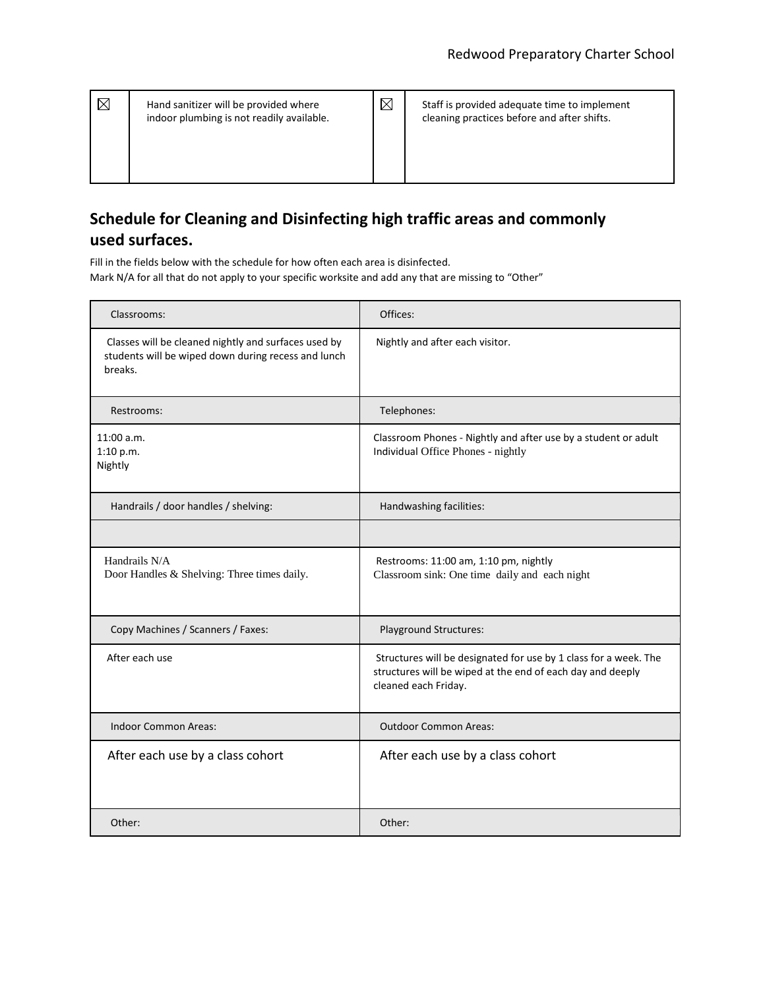| $\boxtimes$ | Hand sanitizer will be provided where<br>indoor plumbing is not readily available. | $\boxtimes$ | Staff is provided adequate time to implement<br>cleaning practices before and after shifts. |
|-------------|------------------------------------------------------------------------------------|-------------|---------------------------------------------------------------------------------------------|
|             |                                                                                    |             |                                                                                             |

# **Schedule for Cleaning and Disinfecting high traffic areas and commonly used surfaces.**

Fill in the fields below with the schedule for how often each area is disinfected. Mark N/A for all that do not apply to your specific worksite and add any that are missing to "Other"

| Classrooms:                                                                                                            | Offices:                                                                                                                                               |
|------------------------------------------------------------------------------------------------------------------------|--------------------------------------------------------------------------------------------------------------------------------------------------------|
| Classes will be cleaned nightly and surfaces used by<br>students will be wiped down during recess and lunch<br>breaks. | Nightly and after each visitor.                                                                                                                        |
| Restrooms:                                                                                                             | Telephones:                                                                                                                                            |
| 11:00 a.m.<br>1:10 p.m.<br>Nightly                                                                                     | Classroom Phones - Nightly and after use by a student or adult<br>Individual Office Phones - nightly                                                   |
| Handrails / door handles / shelving:                                                                                   | Handwashing facilities:                                                                                                                                |
|                                                                                                                        |                                                                                                                                                        |
| Handrails N/A<br>Door Handles & Shelving: Three times daily.                                                           | Restrooms: 11:00 am, 1:10 pm, nightly<br>Classroom sink: One time daily and each night                                                                 |
| Copy Machines / Scanners / Faxes:                                                                                      | Playground Structures:                                                                                                                                 |
| After each use                                                                                                         | Structures will be designated for use by 1 class for a week. The<br>structures will be wiped at the end of each day and deeply<br>cleaned each Friday. |
| <b>Indoor Common Areas:</b>                                                                                            | <b>Outdoor Common Areas:</b>                                                                                                                           |
| After each use by a class cohort                                                                                       | After each use by a class cohort                                                                                                                       |
| Other:                                                                                                                 | Other:                                                                                                                                                 |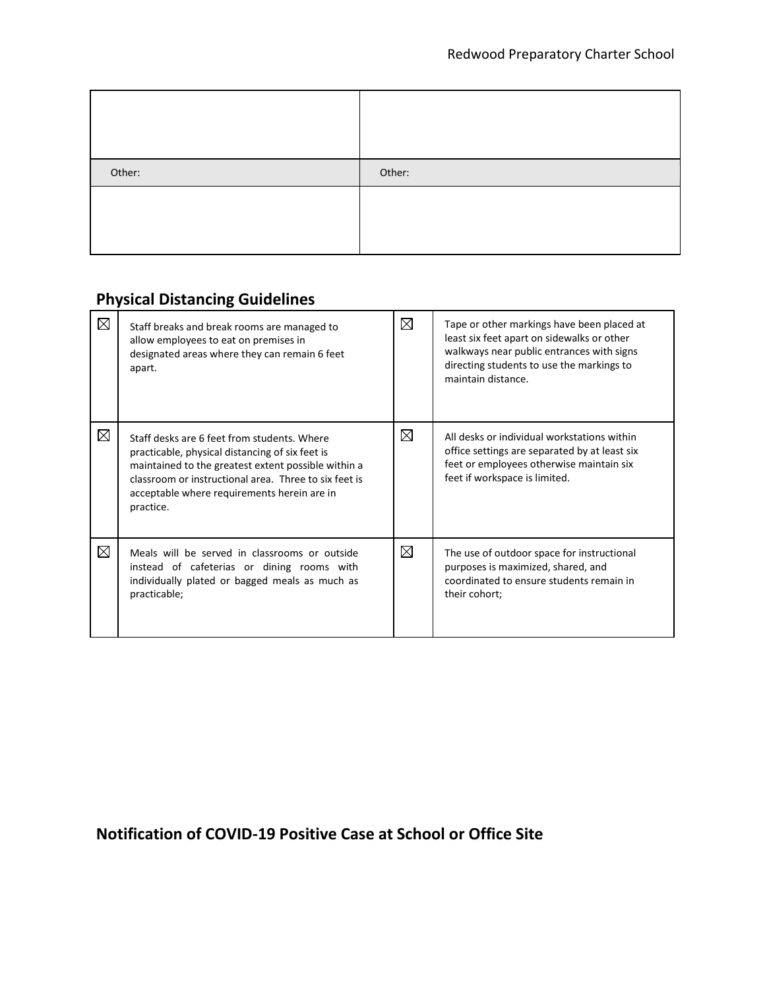| Other: | Other: |
|--------|--------|
|        |        |

# **Physical Distancing Guidelines**

| $\boxtimes$ | Staff breaks and break rooms are managed to<br>allow employees to eat on premises in<br>designated areas where they can remain 6 feet<br>apart.                                                                                                                            | $\boxtimes$ | Tape or other markings have been placed at<br>least six feet apart on sidewalks or other<br>walkways near public entrances with signs<br>directing students to use the markings to<br>maintain distance. |
|-------------|----------------------------------------------------------------------------------------------------------------------------------------------------------------------------------------------------------------------------------------------------------------------------|-------------|----------------------------------------------------------------------------------------------------------------------------------------------------------------------------------------------------------|
| $\boxtimes$ | Staff desks are 6 feet from students. Where<br>practicable, physical distancing of six feet is<br>maintained to the greatest extent possible within a<br>classroom or instructional area. Three to six feet is<br>acceptable where requirements herein are in<br>practice. | $\boxtimes$ | All desks or individual workstations within<br>office settings are separated by at least six<br>feet or employees otherwise maintain six<br>feet if workspace is limited.                                |
| $\boxtimes$ | Meals will be served in classrooms or outside<br>instead of cafeterias or dining rooms with<br>individually plated or bagged meals as much as<br>practicable;                                                                                                              | $\boxtimes$ | The use of outdoor space for instructional<br>purposes is maximized, shared, and<br>coordinated to ensure students remain in<br>their cohort;                                                            |

# **Notification of COVID-19 Positive Case at School or Office Site**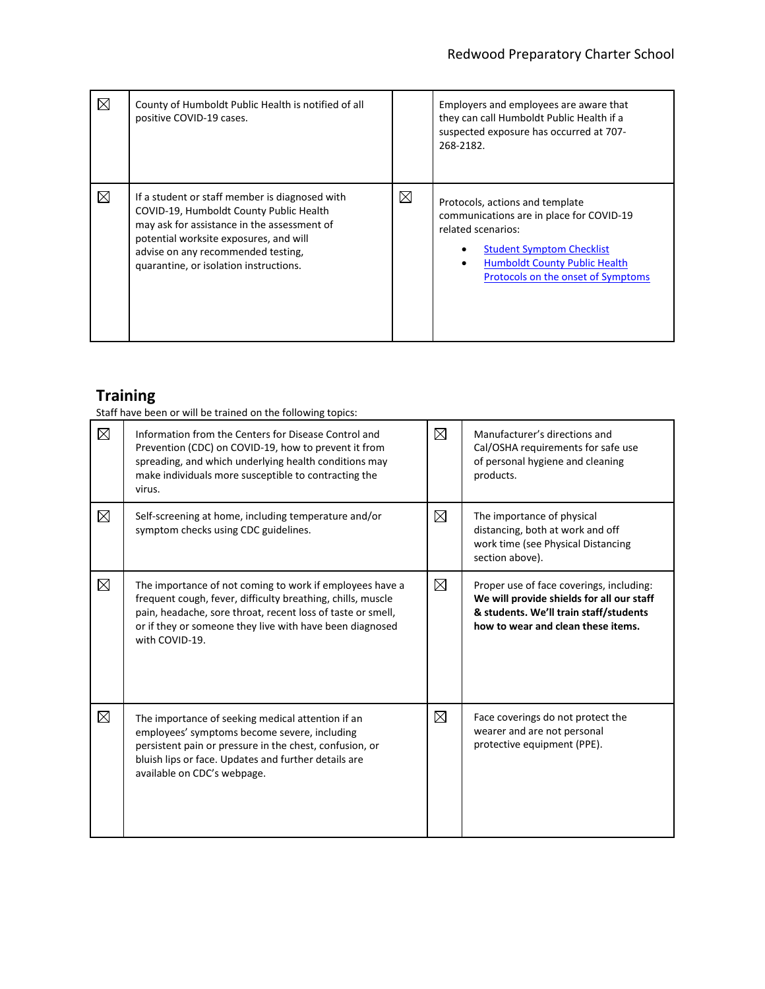| $\boxtimes$ | County of Humboldt Public Health is notified of all<br>positive COVID-19 cases.                                                                                                                                                                                    |   | Employers and employees are aware that<br>they can call Humboldt Public Health if a<br>suspected exposure has occurred at 707-<br>268-2182.                                                                         |
|-------------|--------------------------------------------------------------------------------------------------------------------------------------------------------------------------------------------------------------------------------------------------------------------|---|---------------------------------------------------------------------------------------------------------------------------------------------------------------------------------------------------------------------|
| $\boxtimes$ | If a student or staff member is diagnosed with<br>COVID-19, Humboldt County Public Health<br>may ask for assistance in the assessment of<br>potential worksite exposures, and will<br>advise on any recommended testing,<br>quarantine, or isolation instructions. | ⊠ | Protocols, actions and template<br>communications are in place for COVID-19<br>related scenarios:<br><b>Student Symptom Checklist</b><br><b>Humboldt County Public Health</b><br>Protocols on the onset of Symptoms |

# **Training**

Staff have been or will be trained on the following topics:

| $\boxtimes$ | Information from the Centers for Disease Control and<br>Prevention (CDC) on COVID-19, how to prevent it from<br>spreading, and which underlying health conditions may<br>make individuals more susceptible to contracting the<br>virus.                              | $\boxtimes$ | Manufacturer's directions and<br>Cal/OSHA requirements for safe use<br>of personal hygiene and cleaning<br>products.                                                  |
|-------------|----------------------------------------------------------------------------------------------------------------------------------------------------------------------------------------------------------------------------------------------------------------------|-------------|-----------------------------------------------------------------------------------------------------------------------------------------------------------------------|
| $\boxtimes$ | Self-screening at home, including temperature and/or<br>symptom checks using CDC guidelines.                                                                                                                                                                         | $\boxtimes$ | The importance of physical<br>distancing, both at work and off<br>work time (see Physical Distancing<br>section above).                                               |
| $\boxtimes$ | The importance of not coming to work if employees have a<br>frequent cough, fever, difficulty breathing, chills, muscle<br>pain, headache, sore throat, recent loss of taste or smell,<br>or if they or someone they live with have been diagnosed<br>with COVID-19. | $\boxtimes$ | Proper use of face coverings, including:<br>We will provide shields for all our staff<br>& students. We'll train staff/students<br>how to wear and clean these items. |
| $\boxtimes$ | The importance of seeking medical attention if an<br>employees' symptoms become severe, including<br>persistent pain or pressure in the chest, confusion, or<br>bluish lips or face. Updates and further details are<br>available on CDC's webpage.                  | $\boxtimes$ | Face coverings do not protect the<br>wearer and are not personal<br>protective equipment (PPE).                                                                       |